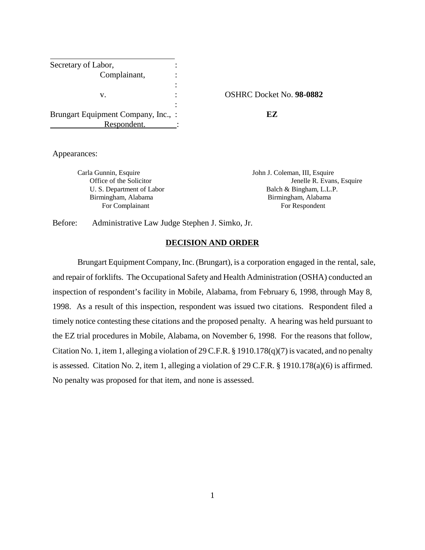| Secretary of Labor,                 |                     |
|-------------------------------------|---------------------|
| Complainant,                        |                     |
|                                     |                     |
| v.                                  | <b>OSHRC</b> Docket |
|                                     |                     |
| Brungart Equipment Company, Inc., : | EZ.                 |
| Respondent.                         |                     |

v. : OSHRC Docket No. **98-0882**

Appearances:

Carla Gunnin, Esquire John J. Coleman, III, Esquire

Office of the Solicitor **I**enelle R. Evans, Esquire U. S. Department of Labor Balch & Bingham, L.L.P. Birmingham, Alabama Birmingham, Alabama For Complainant For Respondent

Before: Administrative Law Judge Stephen J. Simko, Jr.

# **DECISION AND ORDER**

 Brungart Equipment Company, Inc. (Brungart), is a corporation engaged in the rental, sale, and repair of forklifts. The Occupational Safety and Health Administration (OSHA) conducted an inspection of respondent's facility in Mobile, Alabama, from February 6, 1998, through May 8, 1998. As a result of this inspection, respondent was issued two citations. Respondent filed a timely notice contesting these citations and the proposed penalty. A hearing was held pursuant to the EZ trial procedures in Mobile, Alabama, on November 6, 1998. For the reasons that follow, Citation No. 1, item 1, alleging a violation of 29 C.F.R. § 1910.178(q)(7) is vacated, and no penalty is assessed. Citation No. 2, item 1, alleging a violation of 29 C.F.R. § 1910.178(a)(6) is affirmed. No penalty was proposed for that item, and none is assessed.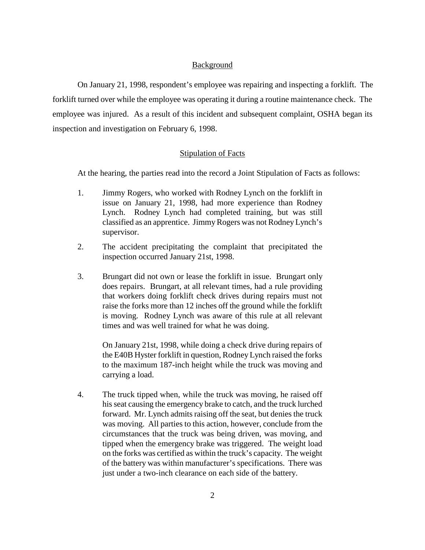## Background

On January 21, 1998, respondent's employee was repairing and inspecting a forklift. The forklift turned over while the employee was operating it during a routine maintenance check. The employee was injured. As a result of this incident and subsequent complaint, OSHA began its inspection and investigation on February 6, 1998.

## Stipulation of Facts

At the hearing, the parties read into the record a Joint Stipulation of Facts as follows:

- 1. Jimmy Rogers, who worked with Rodney Lynch on the forklift in issue on January 21, 1998, had more experience than Rodney Lynch. Rodney Lynch had completed training, but was still classified as an apprentice. Jimmy Rogers was not Rodney Lynch's supervisor.
- 2. The accident precipitating the complaint that precipitated the inspection occurred January 21st, 1998.
- 3. Brungart did not own or lease the forklift in issue. Brungart only does repairs. Brungart, at all relevant times, had a rule providing that workers doing forklift check drives during repairs must not raise the forks more than 12 inches off the ground while the forklift is moving. Rodney Lynch was aware of this rule at all relevant times and was well trained for what he was doing.

On January 21st, 1998, while doing a check drive during repairs of the E40B Hyster forklift in question, Rodney Lynch raised the forks to the maximum 187-inch height while the truck was moving and carrying a load.

4. The truck tipped when, while the truck was moving, he raised off his seat causing the emergency brake to catch, and the truck lurched forward. Mr. Lynch admits raising off the seat, but denies the truck was moving. All parties to this action, however, conclude from the circumstances that the truck was being driven, was moving, and tipped when the emergency brake was triggered. The weight load on the forks was certified as within the truck's capacity. The weight of the battery was within manufacturer's specifications. There was just under a two-inch clearance on each side of the battery.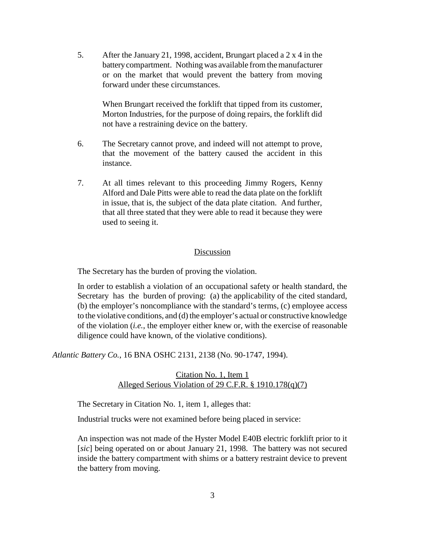5. After the January 21, 1998, accident, Brungart placed a 2 x 4 in the battery compartment. Nothing was available from the manufacturer or on the market that would prevent the battery from moving forward under these circumstances.

> When Brungart received the forklift that tipped from its customer, Morton Industries, for the purpose of doing repairs, the forklift did not have a restraining device on the battery.

- 6. The Secretary cannot prove, and indeed will not attempt to prove, that the movement of the battery caused the accident in this instance.
- 7. At all times relevant to this proceeding Jimmy Rogers, Kenny Alford and Dale Pitts were able to read the data plate on the forklift in issue, that is, the subject of the data plate citation. And further, that all three stated that they were able to read it because they were used to seeing it.

## Discussion

The Secretary has the burden of proving the violation.

In order to establish a violation of an occupational safety or health standard, the Secretary has the burden of proving: (a) the applicability of the cited standard, (b) the employer's noncompliance with the standard's terms, (c) employee access to the violative conditions, and (d) the employer's actual or constructive knowledge of the violation (*i.e.*, the employer either knew or, with the exercise of reasonable diligence could have known, of the violative conditions).

*Atlantic Battery Co.*, 16 BNA OSHC 2131, 2138 (No. 90-1747, 1994).

Citation No. 1, Item 1 Alleged Serious Violation of 29 C.F.R. § 1910.178(q)(7)

The Secretary in Citation No. 1, item 1, alleges that:

Industrial trucks were not examined before being placed in service:

An inspection was not made of the Hyster Model E40B electric forklift prior to it [*sic*] being operated on or about January 21, 1998. The battery was not secured inside the battery compartment with shims or a battery restraint device to prevent the battery from moving.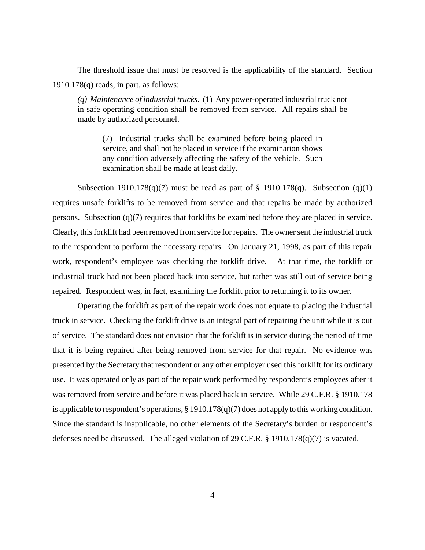The threshold issue that must be resolved is the applicability of the standard. Section 1910.178(q) reads, in part, as follows:

*(q) Maintenance of industrial trucks.* (1) Any power-operated industrial truck not in safe operating condition shall be removed from service. All repairs shall be made by authorized personnel.

(7) Industrial trucks shall be examined before being placed in service, and shall not be placed in service if the examination shows any condition adversely affecting the safety of the vehicle. Such examination shall be made at least daily.

Subsection 1910.178(q)(7) must be read as part of  $\S$  1910.178(q). Subsection (q)(1) requires unsafe forklifts to be removed from service and that repairs be made by authorized persons. Subsection (q)(7) requires that forklifts be examined before they are placed in service. Clearly, this forklift had been removed from service for repairs. The owner sent the industrial truck to the respondent to perform the necessary repairs. On January 21, 1998, as part of this repair work, respondent's employee was checking the forklift drive. At that time, the forklift or industrial truck had not been placed back into service, but rather was still out of service being repaired. Respondent was, in fact, examining the forklift prior to returning it to its owner.

Operating the forklift as part of the repair work does not equate to placing the industrial truck in service. Checking the forklift drive is an integral part of repairing the unit while it is out of service. The standard does not envision that the forklift is in service during the period of time that it is being repaired after being removed from service for that repair. No evidence was presented by the Secretary that respondent or any other employer used this forklift for its ordinary use. It was operated only as part of the repair work performed by respondent's employees after it was removed from service and before it was placed back in service. While 29 C.F.R. § 1910.178 is applicable to respondent's operations, § 1910.178(q)(7) does not apply to this working condition. Since the standard is inapplicable, no other elements of the Secretary's burden or respondent's defenses need be discussed. The alleged violation of 29 C.F.R. § 1910.178(q)(7) is vacated.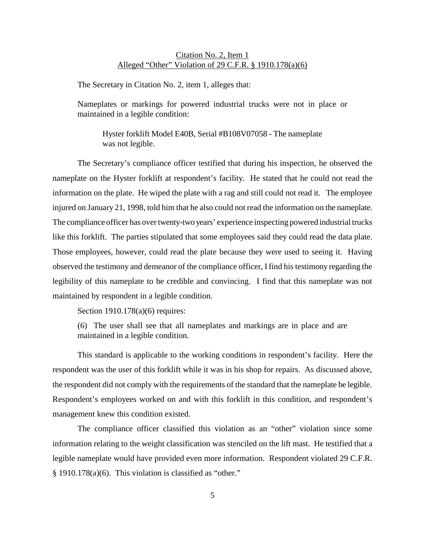# Citation No. 2, Item 1 Alleged "Other" Violation of 29 C.F.R. § 1910.178(a)(6)

The Secretary in Citation No. 2, item 1, alleges that:

Nameplates or markings for powered industrial trucks were not in place or maintained in a legible condition:

Hyster forklift Model E40B, Serial #B108V07058 - The nameplate was not legible.

The Secretary's compliance officer testified that during his inspection, he observed the nameplate on the Hyster forklift at respondent's facility. He stated that he could not read the information on the plate. He wiped the plate with a rag and still could not read it. The employee injured on January 21, 1998, told him that he also could not read the information on the nameplate. The compliance officer has over twenty-two years' experience inspecting powered industrial trucks like this forklift. The parties stipulated that some employees said they could read the data plate. Those employees, however, could read the plate because they were used to seeing it. Having observed the testimony and demeanor of the compliance officer, I find his testimony regarding the legibility of this nameplate to be credible and convincing. I find that this nameplate was not maintained by respondent in a legible condition.

Section 1910.178(a)(6) requires:

(6) The user shall see that all nameplates and markings are in place and are maintained in a legible condition.

This standard is applicable to the working conditions in respondent's facility. Here the respondent was the user of this forklift while it was in his shop for repairs. As discussed above, the respondent did not comply with the requirements of the standard that the nameplate be legible. Respondent's employees worked on and with this forklift in this condition, and respondent's management knew this condition existed.

The compliance officer classified this violation as an "other" violation since some information relating to the weight classification was stenciled on the lift mast. He testified that a legible nameplate would have provided even more information. Respondent violated 29 C.F.R. § 1910.178(a)(6). This violation is classified as "other."